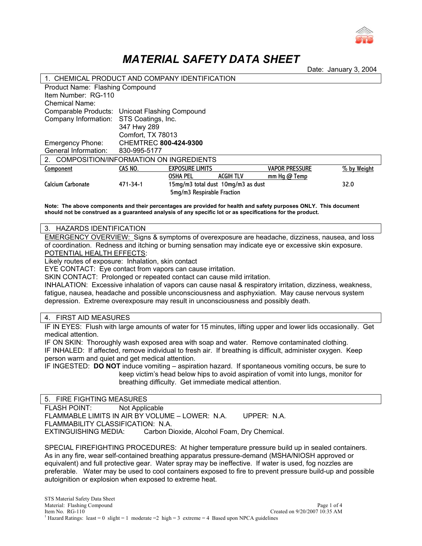

# *MATERIAL SAFETY DATA SHEET*

Date: January 3, 2004

| 1. CHEMICAL PRODUCT AND COMPANY IDENTIFICATION |                              |                                    |                  |                       |             |  |  |  |
|------------------------------------------------|------------------------------|------------------------------------|------------------|-----------------------|-------------|--|--|--|
| Product Name: Flashing Compound                |                              |                                    |                  |                       |             |  |  |  |
| Item Number: RG-110                            |                              |                                    |                  |                       |             |  |  |  |
| <b>Chemical Name:</b>                          |                              |                                    |                  |                       |             |  |  |  |
| Comparable Products: Unicoat Flashing Compound |                              |                                    |                  |                       |             |  |  |  |
| Company Information:                           | STS Coatings, Inc.           |                                    |                  |                       |             |  |  |  |
|                                                | 347 Hwy 289                  |                                    |                  |                       |             |  |  |  |
|                                                | Comfort, TX 78013            |                                    |                  |                       |             |  |  |  |
| <b>Emergency Phone:</b>                        | <b>CHEMTREC 800-424-9300</b> |                                    |                  |                       |             |  |  |  |
| General Information:                           | 830-995-5177                 |                                    |                  |                       |             |  |  |  |
| COMPOSITION/INFORMATION ON INGREDIENTS<br>2    |                              |                                    |                  |                       |             |  |  |  |
| Component                                      | CAS NO.                      | <b>EXPOSURE LIMITS</b>             |                  | <b>VAPOR PRESSURE</b> | % by Weight |  |  |  |
|                                                |                              | <b>OSHA PEL</b>                    | <b>ACGIH TLV</b> | mm $Hg$ $@$ Temp      |             |  |  |  |
| Calcium Carbonate                              | 471-34-1                     | 15mg/m3 total dust 10mg/m3 as dust | 32.0             |                       |             |  |  |  |
|                                                |                              | 5mg/m3 Respirable Fraction         |                  |                       |             |  |  |  |

**Note: The above components and their percentages are provided for health and safety purposes ONLY. This document should not be construed as a guaranteed analysis of any specific lot or as specifications for the product.** 

## 3. HAZARDS IDENTIFICATION

EMERGENCY OVERVIEW: Signs & symptoms of overexposure are headache, dizziness, nausea, and loss of coordination. Redness and itching or burning sensation may indicate eye or excessive skin exposure. POTENTIAL HEALTH EFFECTS:

Likely routes of exposure: Inhalation, skin contact

EYE CONTACT: Eye contact from vapors can cause irritation.

SKIN CONTACT: Prolonged or repeated contact can cause mild irritation.

INHALATION: Excessive inhalation of vapors can cause nasal & respiratory irritation, dizziness, weakness, fatigue, nausea, headache and possible unconsciousness and asphyxiation. May cause nervous system depression. Extreme overexposure may result in unconsciousness and possibly death.

4. FIRST AID MEASURES

IF IN EYES: Flush with large amounts of water for 15 minutes, lifting upper and lower lids occasionally. Get medical attention.

IF ON SKIN: Thoroughly wash exposed area with soap and water. Remove contaminated clothing. IF INHALED: If affected, remove individual to fresh air. If breathing is difficult, administer oxygen. Keep person warm and quiet and get medical attention.

IF INGESTED: **DO NOT** induce vomiting – aspiration hazard. If spontaneous vomiting occurs, be sure to keep victim's head below hips to avoid aspiration of vomit into lungs, monitor for breathing difficulty. Get immediate medical attention.

## 5. FIRE FIGHTING MEASURES

FLASH POINT: Not Applicable FLAMMABLE LIMITS IN AIR BY VOLUME – LOWER: N.A. UPPER: N.A. FLAMMABILITY CLASSIFICATION: N.A. EXTINGUISHING MEDIA: Carbon Dioxide, Alcohol Foam, Dry Chemical.

SPECIAL FIREFIGHTING PROCEDURES: At higher temperature pressure build up in sealed containers. As in any fire, wear self-contained breathing apparatus pressure-demand (MSHA/NIOSH approved or equivalent) and full protective gear. Water spray may be ineffective. If water is used, fog nozzles are preferable. Water may be used to cool containers exposed to fire to prevent pressure build-up and possible autoignition or explosion when exposed to extreme heat.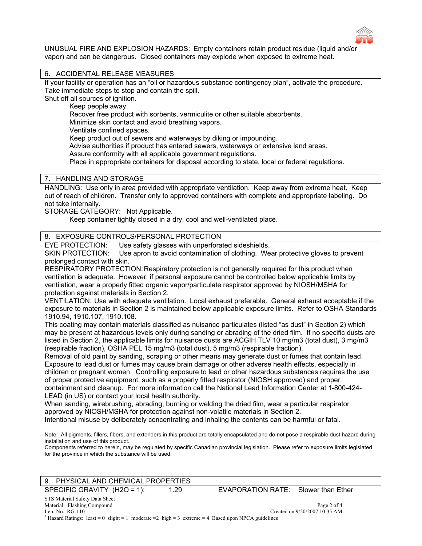

UNUSUAL FIRE AND EXPLOSION HAZARDS: Empty containers retain product residue (liquid and/or vapor) and can be dangerous. Closed containers may explode when exposed to extreme heat.

# 6. ACCIDENTAL RELEASE MEASURES

If your facility or operation has an "oil or hazardous substance contingency plan", activate the procedure. Take immediate steps to stop and contain the spill.

Shut off all sources of ignition.

Keep people away.

Recover free product with sorbents, vermiculite or other suitable absorbents.

Minimize skin contact and avoid breathing vapors.

Ventilate confined spaces.

Keep product out of sewers and waterways by diking or impounding.

Advise authorities if product has entered sewers, waterways or extensive land areas.

Assure conformity with all applicable government regulations.

Place in appropriate containers for disposal according to state, local or federal regulations.

## 7. HANDLING AND STORAGE

HANDLING: Use only in area provided with appropriate ventilation. Keep away from extreme heat. Keep out of reach of children. Transfer only to approved containers with complete and appropriate labeling. Do not take internally.

STORAGE CATEGORY: Not Applicable.

Keep container tightly closed in a dry, cool and well-ventilated place.

## 8. EXPOSURE CONTROLS/PERSONAL PROTECTION

EYE PROTECTION: Use safety glasses with unperforated sideshields.

SKIN PROTECTION: Use apron to avoid contamination of clothing. Wear protective gloves to prevent prolonged contact with skin.

RESPIRATORY PROTECTION: Respiratory protection is not generally required for this product when ventilation is adequate. However, if personal exposure cannot be controlled below applicable limits by ventilation, wear a properly fitted organic vapor/particulate respirator approved by NIOSH/MSHA for protection against materials in Section 2.

VENTILATION: Use with adequate ventilation. Local exhaust preferable. General exhaust acceptable if the exposure to materials in Section 2 is maintained below applicable exposure limits. Refer to OSHA Standards 1910.94, 1910.107, 1910.108.

This coating may contain materials classified as nuisance particulates (listed "as dust" in Section 2) which may be present at hazardous levels only during sanding or abrading of the dried film. If no specific dusts are listed in Section 2, the applicable limits for nuisance dusts are ACGIH TLV 10 mg/m3 (total dust), 3 mg/m3 (respirable fraction), OSHA PEL 15 mg/m3 (total dust), 5 mg/m3 (respirable fraction).

Removal of old paint by sanding, scraping or other means may generate dust or fumes that contain lead. Exposure to lead dust or fumes may cause brain damage or other adverse health effects, especially in children or pregnant women. Controlling exposure to lead or other hazardous substances requires the use of proper protective equipment, such as a properly fitted respirator (NIOSH approved) and proper containment and cleanup. For more information call the National Lead Information Center at 1-800-424- LEAD (in US) or contact your local health authority.

When sanding, wirebrushing, abrading, burning or welding the dried film, wear a particular respirator approved by NIOSH/MSHA for protection against non-volatile materials in Section 2.

Intentional misuse by deliberately concentrating and inhaling the contents can be harmful or fatal.

Note: All pigments, fillers, fibers, and extenders in this product are totally encapsulated and do not pose a respirable dust hazard during installation and use of this product.

Components referred to herein, may be regulated by specific Canadian provincial legislation. Please refer to exposure limits legislated for the province in which the substance will be used.

| 9. PHYSICAL AND CHEMICAL PROPERTIES |      |                                     |                               |  |  |
|-------------------------------------|------|-------------------------------------|-------------------------------|--|--|
| SPECIFIC GRAVITY $(H2O = 1)$ :      | 1.29 | EVAPORATION RATE: Slower than Ether |                               |  |  |
| STS Material Safety Data Sheet      |      |                                     |                               |  |  |
| Material: Flashing Compound         |      | Page 2 of 4                         |                               |  |  |
| Item No. $RG-110$                   |      |                                     | Created on 9/20/2007 10:35 AM |  |  |

<sup>1</sup> Hazard Ratings: least = 0 slight = 1 moderate = 2 high = 3 extreme = 4 Based upon NPCA guidelines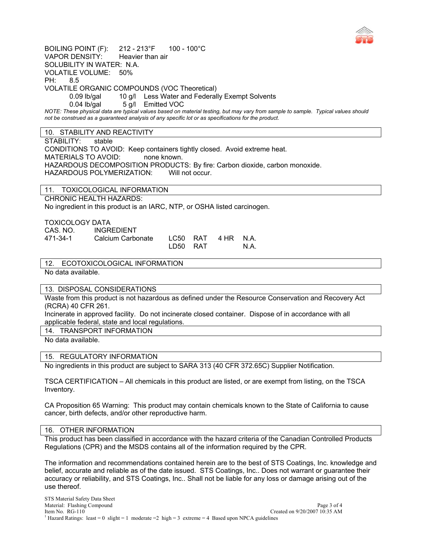

BOILING POINT (F): 212 - 213°F 100 - 100°C VAPOR DENSITY: Heavier than air SOLUBILITY IN WATER: N.A. VOLATILE VOLUME: 50% PH: 8.5 VOLATILE ORGANIC COMPOUNDS (VOC Theoretical) 0.09 lb/gal 10 g/l Less Water and Federally Exempt Solvents 0.04 lb/gal 5 g/l Emitted VOC *NOTE: These physical data are typical values based on material testing, but may vary from sample to sample. Typical values should not be construed as a guaranteed analysis of any specific lot or as specifications for the product.* 

# 10. STABILITY AND REACTIVITY

STABILITY: stable

CONDITIONS TO AVOID: Keep containers tightly closed. Avoid extreme heat. MATERIALS TO AVOID: none known. HAZARDOUS DECOMPOSITION PRODUCTS: By fire: Carbon dioxide, carbon monoxide. HAZARDOUS POLYMERIZATION: Will not occur.

11. TOXICOLOGICAL INFORMATION

CHRONIC HEALTH HAZARDS:

No ingredient in this product is an IARC, NTP, or OSHA listed carcinogen.

TOXICOLOGY DATA

| CAS. NO. | <b>INGREDIENT</b> |          |           |      |
|----------|-------------------|----------|-----------|------|
| 471-34-1 | Calcium Carbonate | LC50 RAT | 4 HR N.A. |      |
|          |                   | LD50 RAT |           | N.A. |

12. ECOTOXICOLOGICAL INFORMATION

No data available.

#### 13. DISPOSAL CONSIDERATIONS

Waste from this product is not hazardous as defined under the Resource Conservation and Recovery Act (RCRA) 40 CFR 261.

Incinerate in approved facility. Do not incinerate closed container. Dispose of in accordance with all applicable federal, state and local regulations.

14. TRANSPORT INFORMATION

No data available.

## 15. REGULATORY INFORMATION

No ingredients in this product are subject to SARA 313 (40 CFR 372.65C) Supplier Notification.

TSCA CERTIFICATION – All chemicals in this product are listed, or are exempt from listing, on the TSCA Inventory.

CA Proposition 65 Warning: This product may contain chemicals known to the State of California to cause cancer, birth defects, and/or other reproductive harm.

#### 16. OTHER INFORMATION

This product has been classified in accordance with the hazard criteria of the Canadian Controlled Products Regulations (CPR) and the MSDS contains all of the information required by the CPR.

The information and recommendations contained herein are to the best of STS Coatings, Inc. knowledge and belief, accurate and reliable as of the date issued. STS Coatings, Inc.. Does not warrant or guarantee their accuracy or reliability, and STS Coatings, Inc.. Shall not be liable for any loss or damage arising out of the use thereof.